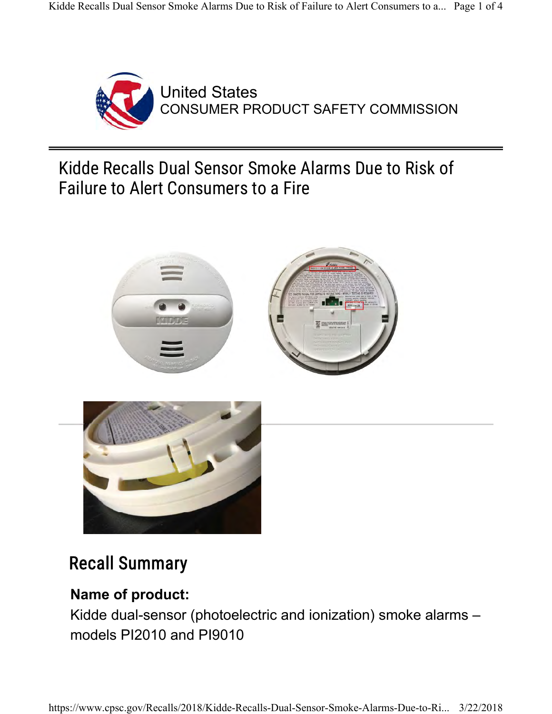

United States CONSUMER PRODUCT SAFETY COMMISSION

Kidde Recalls Dual Sensor Smoke Alarms Due to Risk of Failure to Alert Consumers to a Fire





# Recall Summary

# **Name of product:**

Kidde dual-sensor (photoelectric and ionization) smoke alarms – models PI2010 and PI9010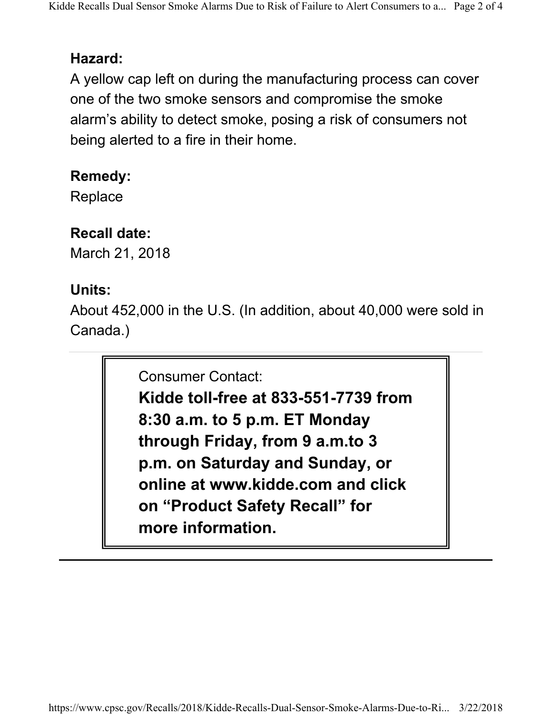#### **Hazard:**

A yellow cap left on during the manufacturing process can cover one of the two smoke sensors and compromise the smoke alarm's ability to detect smoke, posing a risk of consumers not being alerted to a fire in their home.

#### **Remedy:**

**Replace** 

# **Recall date:**

March 21, 2018

# **Units:**

About 452,000 in the U.S. (In addition, about 40,000 were sold in Canada.)

Consumer Contact:

**Kidde toll-free at 833-551-7739 from 8:30 a.m. to 5 p.m. ET Monday through Friday, from 9 a.m.to 3 p.m. on Saturday and Sunday, or online at www.kidde.com and click on "Product Safety Recall" for more information.**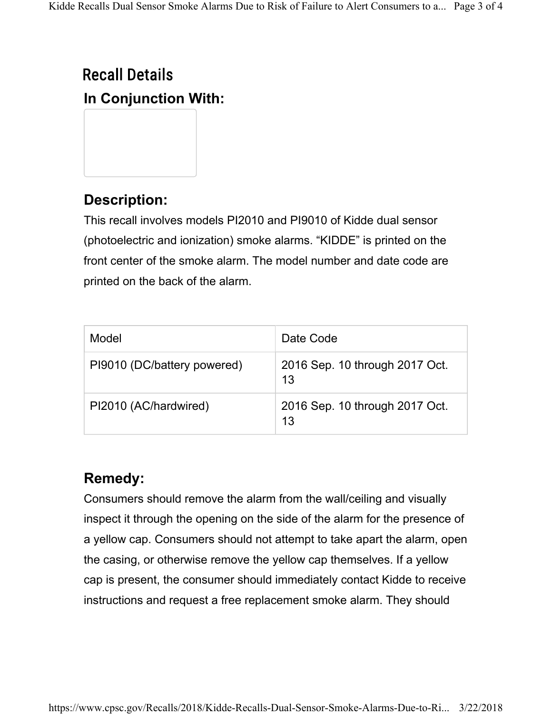# Recall Details **In Conjunction With:**

# **Description:**

This recall involves models PI2010 and PI9010 of Kidde dual sensor (photoelectric and ionization) smoke alarms. "KIDDE" is printed on the front center of the smoke alarm. The model number and date code are printed on the back of the alarm.

| Model                       | Date Code                            |
|-----------------------------|--------------------------------------|
| PI9010 (DC/battery powered) | 2016 Sep. 10 through 2017 Oct.<br>13 |
| PI2010 (AC/hardwired)       | 2016 Sep. 10 through 2017 Oct.<br>13 |

#### **Remedy:**

Consumers should remove the alarm from the wall/ceiling and visually inspect it through the opening on the side of the alarm for the presence of a yellow cap. Consumers should not attempt to take apart the alarm, open the casing, or otherwise remove the yellow cap themselves. If a yellow cap is present, the consumer should immediately contact Kidde to receive instructions and request a free replacement smoke alarm. They should